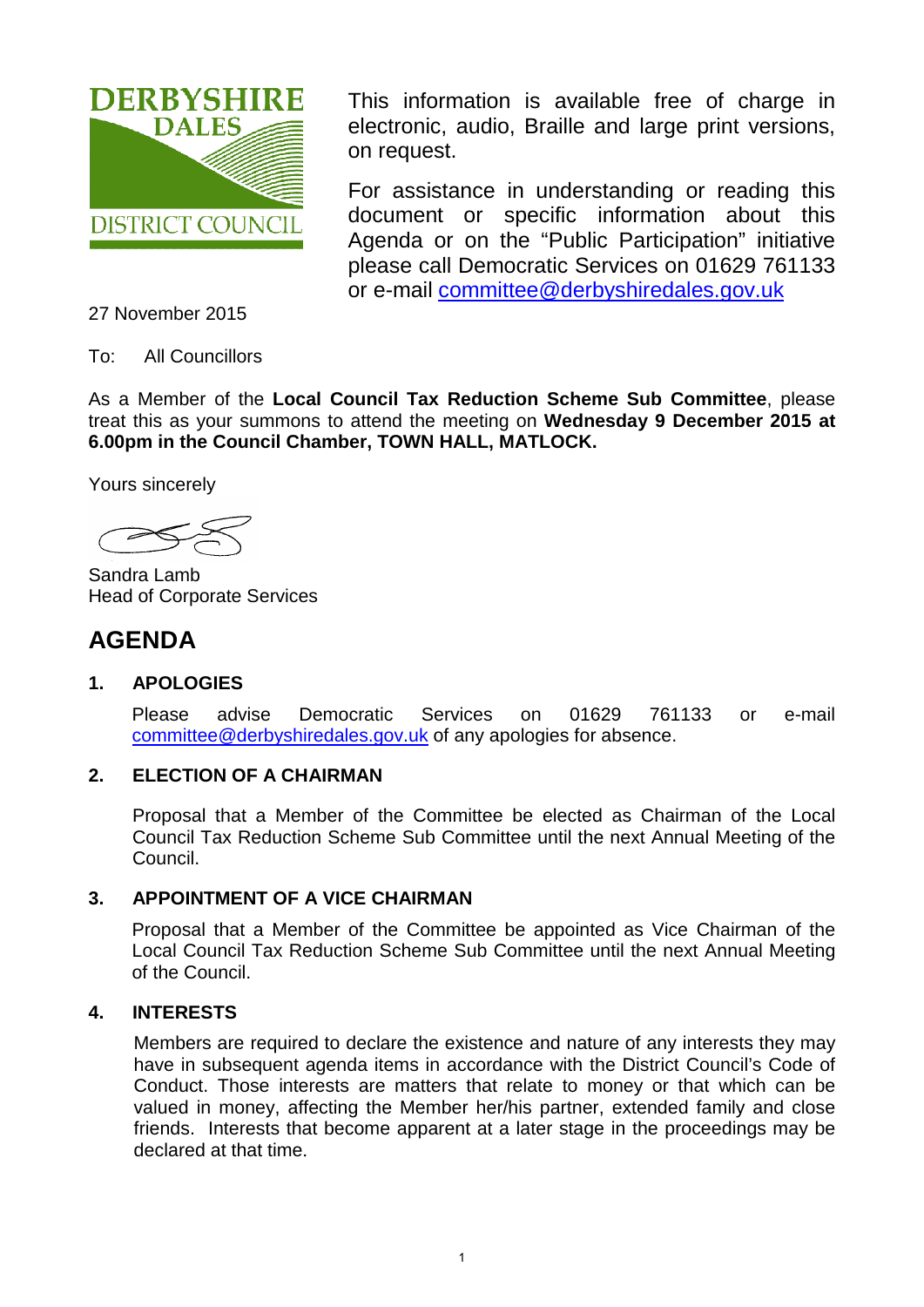

This information is available free of charge in electronic, audio, Braille and large print versions, on request.

For assistance in understanding or reading this document or specific information about this Agenda or on the "Public Participation" initiative please call Democratic Services on 01629 761133 or e-mail [committee@derbyshiredales.gov.uk](mailto:committee@derbyshiredales.gov.uk)

27 November 2015

To: All Councillors

As a Member of the **Local Council Tax Reduction Scheme Sub Committee**, please treat this as your summons to attend the meeting on **Wednesday 9 December 2015 at 6.00pm in the Council Chamber, TOWN HALL, MATLOCK.**

Yours sincerely

Sandra Lamb Head of Corporate Services

# **AGENDA**

# **1. APOLOGIES**

Please advise Democratic Services on 01629 761133 or e-mail [committee@derbyshiredales.gov.uk](mailto:committee@derbyshiredales.gov.uk) of any apologies for absence.

# **2. ELECTION OF A CHAIRMAN**

Proposal that a Member of the Committee be elected as Chairman of the Local Council Tax Reduction Scheme Sub Committee until the next Annual Meeting of the Council.

# **3. APPOINTMENT OF A VICE CHAIRMAN**

Proposal that a Member of the Committee be appointed as Vice Chairman of the Local Council Tax Reduction Scheme Sub Committee until the next Annual Meeting of the Council.

# **4. INTERESTS**

Members are required to declare the existence and nature of any interests they may have in subsequent agenda items in accordance with the District Council's Code of Conduct. Those interests are matters that relate to money or that which can be valued in money, affecting the Member her/his partner, extended family and close friends. Interests that become apparent at a later stage in the proceedings may be declared at that time.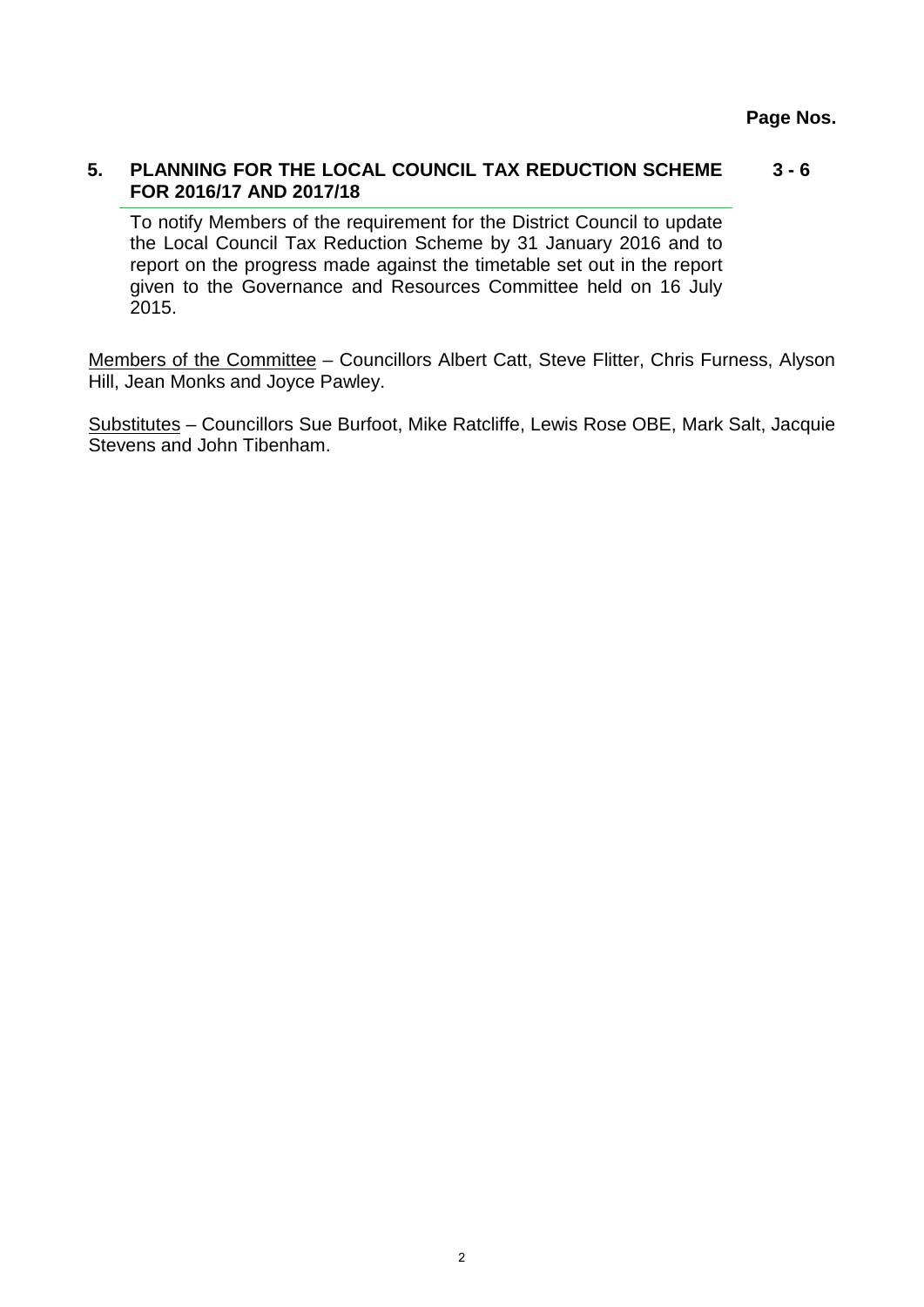#### **5. [PLANNING FOR THE LOCAL COUNCIL TAX REDUCTION SCHEME](#page-2-0)  FOR 2016/17 AND 2017/18 3 - 6**

To notify Members of the requirement for the District Council to update the Local Council Tax Reduction Scheme by 31 January 2016 and to report on the progress made against the timetable set out in the report given to the Governance and Resources Committee held on 16 July 2015.

Members of the Committee – Councillors Albert Catt, Steve Flitter, Chris Furness, Alyson Hill, Jean Monks and Joyce Pawley.

Substitutes – Councillors Sue Burfoot, Mike Ratcliffe, Lewis Rose OBE, Mark Salt, Jacquie Stevens and John Tibenham.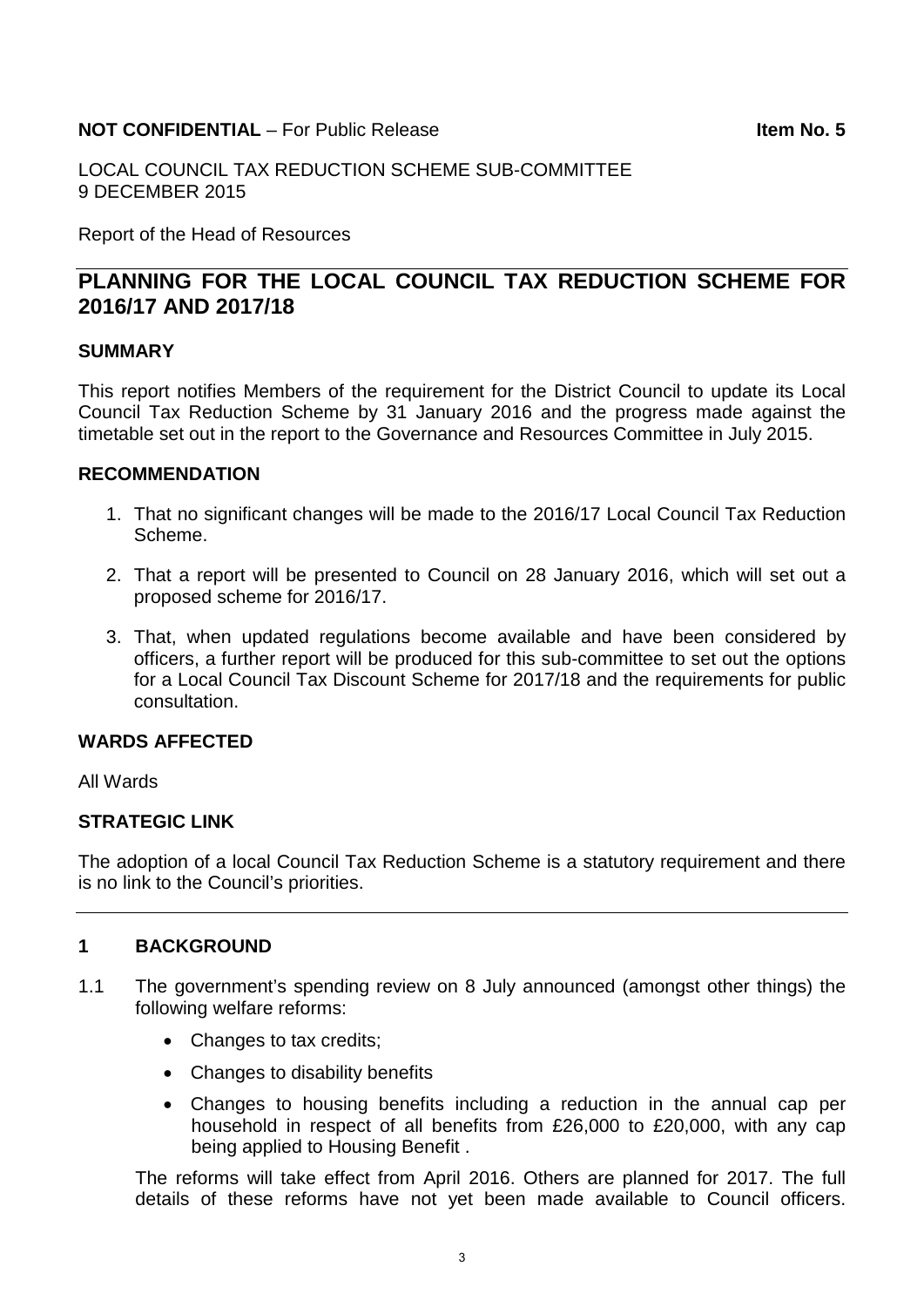### <span id="page-2-0"></span>**NOT CONFIDENTIAL** – For Public Release **Internal Studies Confidential** Leon Mo. 5

LOCAL COUNCIL TAX REDUCTION SCHEME SUB-COMMITTEE 9 DECEMBER 2015

Report of the Head of Resources

# **PLANNING FOR THE LOCAL COUNCIL TAX REDUCTION SCHEME FOR 2016/17 AND 2017/18**

### **SUMMARY**

This report notifies Members of the requirement for the District Council to update its Local Council Tax Reduction Scheme by 31 January 2016 and the progress made against the timetable set out in the report to the Governance and Resources Committee in July 2015.

#### **RECOMMENDATION**

- 1. That no significant changes will be made to the 2016/17 Local Council Tax Reduction Scheme.
- 2. That a report will be presented to Council on 28 January 2016, which will set out a proposed scheme for 2016/17.
- 3. That, when updated regulations become available and have been considered by officers, a further report will be produced for this sub-committee to set out the options for a Local Council Tax Discount Scheme for 2017/18 and the requirements for public consultation.

### **WARDS AFFECTED**

All Wards

#### **STRATEGIC LINK**

The adoption of a local Council Tax Reduction Scheme is a statutory requirement and there is no link to the Council's priorities.

#### **1 BACKGROUND**

- 1.1 The government's spending review on 8 July announced (amongst other things) the following welfare reforms:
	- Changes to tax credits;
	- Changes to disability benefits
	- Changes to housing benefits including a reduction in the annual cap per household in respect of all benefits from £26,000 to £20,000, with any cap being applied to Housing Benefit .

The reforms will take effect from April 2016. Others are planned for 2017. The full details of these reforms have not yet been made available to Council officers.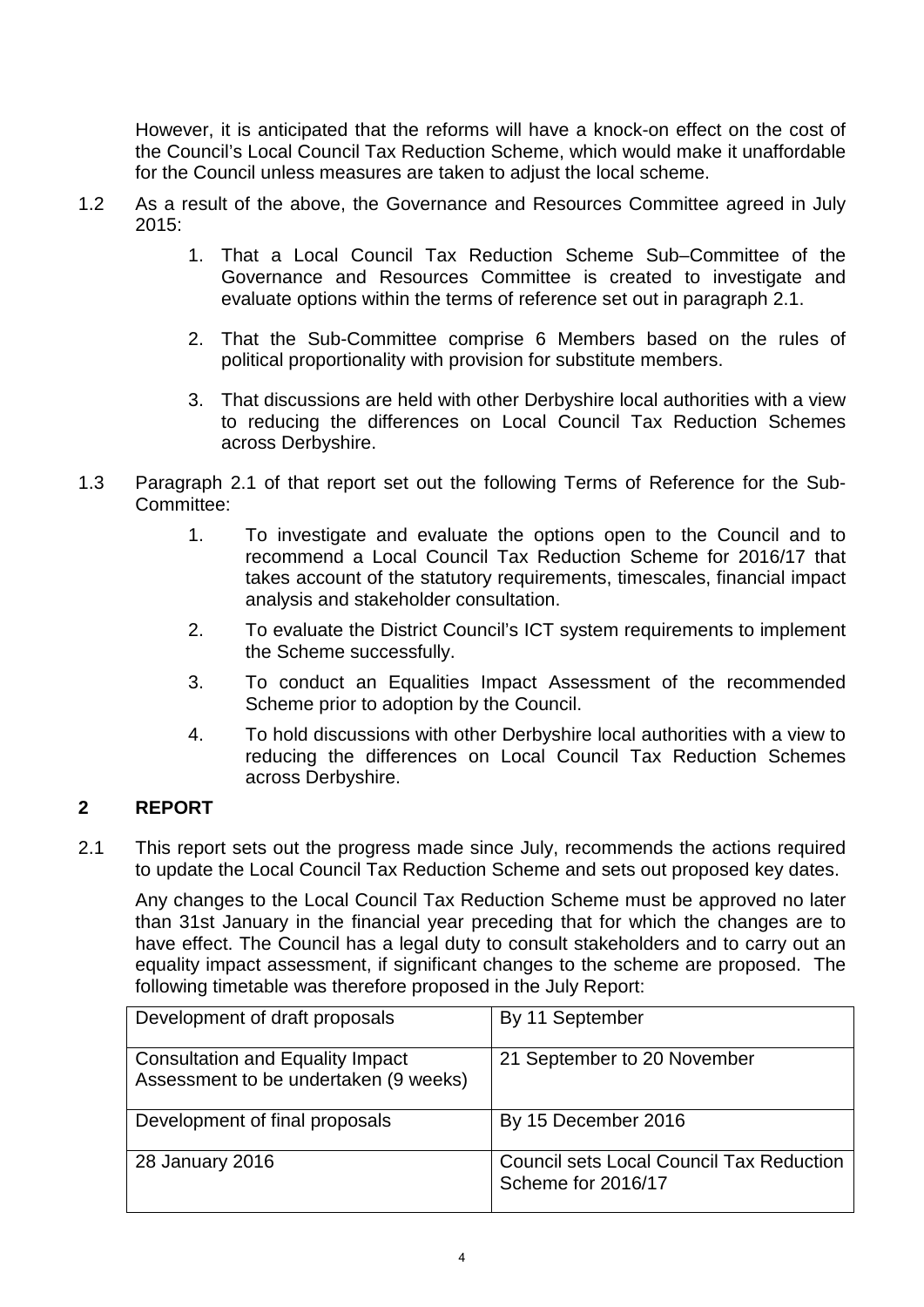However, it is anticipated that the reforms will have a knock-on effect on the cost of the Council's Local Council Tax Reduction Scheme, which would make it unaffordable for the Council unless measures are taken to adjust the local scheme.

- 1.2 As a result of the above, the Governance and Resources Committee agreed in July 2015:
	- 1. That a Local Council Tax Reduction Scheme Sub–Committee of the Governance and Resources Committee is created to investigate and evaluate options within the terms of reference set out in paragraph 2.1.
	- 2. That the Sub-Committee comprise 6 Members based on the rules of political proportionality with provision for substitute members.
	- 3. That discussions are held with other Derbyshire local authorities with a view to reducing the differences on Local Council Tax Reduction Schemes across Derbyshire.
- 1.3 Paragraph 2.1 of that report set out the following Terms of Reference for the Sub-Committee:
	- 1. To investigate and evaluate the options open to the Council and to recommend a Local Council Tax Reduction Scheme for 2016/17 that takes account of the statutory requirements, timescales, financial impact analysis and stakeholder consultation.
	- 2. To evaluate the District Council's ICT system requirements to implement the Scheme successfully.
	- 3. To conduct an Equalities Impact Assessment of the recommended Scheme prior to adoption by the Council.
	- 4. To hold discussions with other Derbyshire local authorities with a view to reducing the differences on Local Council Tax Reduction Schemes across Derbyshire.

# **2 REPORT**

2.1 This report sets out the progress made since July, recommends the actions required to update the Local Council Tax Reduction Scheme and sets out proposed key dates.

Any changes to the Local Council Tax Reduction Scheme must be approved no later than 31st January in the financial year preceding that for which the changes are to have effect. The Council has a legal duty to consult stakeholders and to carry out an equality impact assessment, if significant changes to the scheme are proposed. The following timetable was therefore proposed in the July Report:

| Development of draft proposals                                                   | By 11 September                                                       |
|----------------------------------------------------------------------------------|-----------------------------------------------------------------------|
| <b>Consultation and Equality Impact</b><br>Assessment to be undertaken (9 weeks) | 21 September to 20 November                                           |
| Development of final proposals                                                   | By 15 December 2016                                                   |
| 28 January 2016                                                                  | <b>Council sets Local Council Tax Reduction</b><br>Scheme for 2016/17 |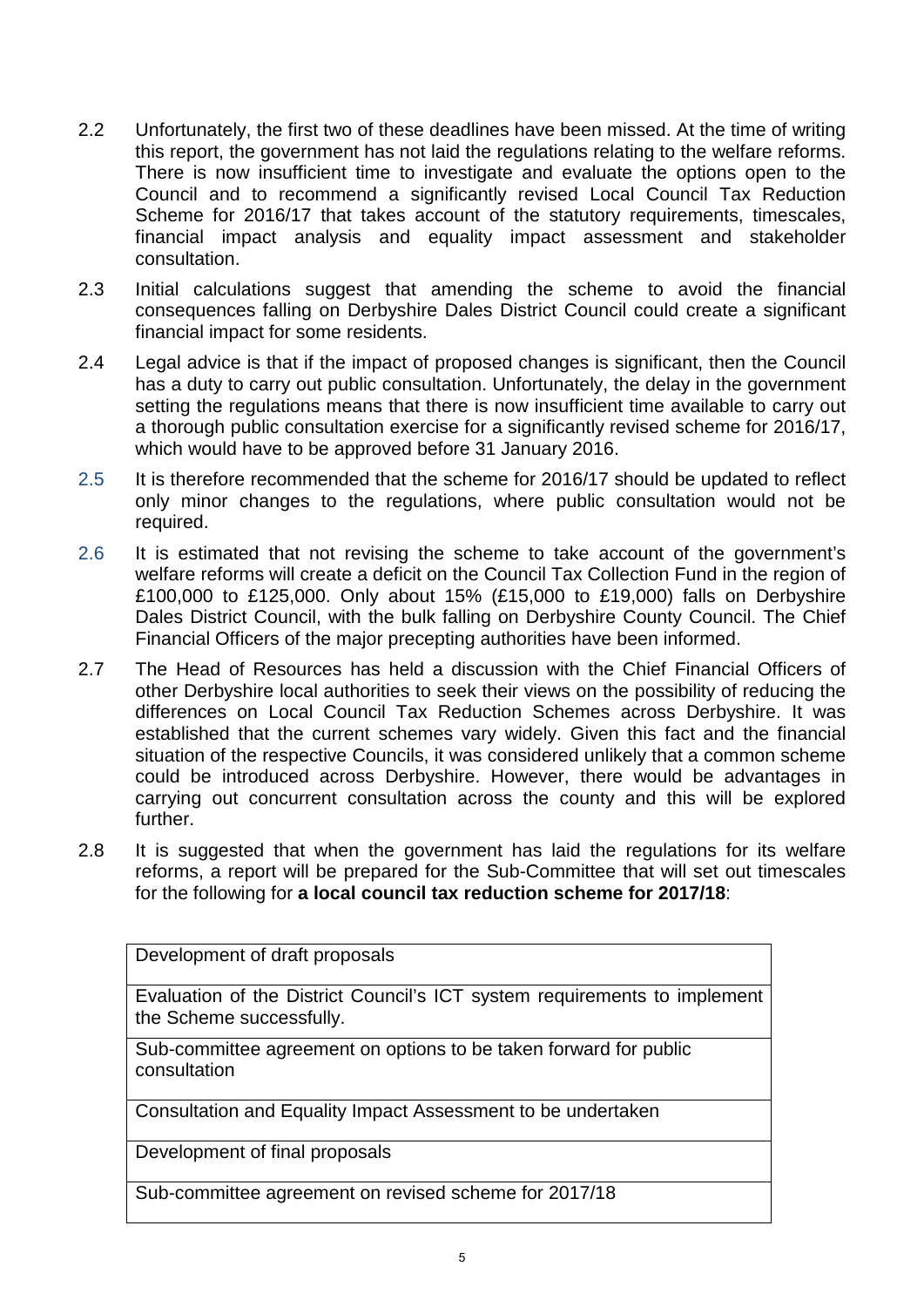- 2.2 Unfortunately, the first two of these deadlines have been missed. At the time of writing this report, the government has not laid the regulations relating to the welfare reforms. There is now insufficient time to investigate and evaluate the options open to the Council and to recommend a significantly revised Local Council Tax Reduction Scheme for 2016/17 that takes account of the statutory requirements, timescales, financial impact analysis and equality impact assessment and stakeholder consultation.
- 2.3 Initial calculations suggest that amending the scheme to avoid the financial consequences falling on Derbyshire Dales District Council could create a significant financial impact for some residents.
- 2.4 Legal advice is that if the impact of proposed changes is significant, then the Council has a duty to carry out public consultation. Unfortunately, the delay in the government setting the regulations means that there is now insufficient time available to carry out a thorough public consultation exercise for a significantly revised scheme for 2016/17, which would have to be approved before 31 January 2016.
- 2.5 It is therefore recommended that the scheme for 2016/17 should be updated to reflect only minor changes to the regulations, where public consultation would not be required.
- 2.6 It is estimated that not revising the scheme to take account of the government's welfare reforms will create a deficit on the Council Tax Collection Fund in the region of £100,000 to £125,000. Only about 15% (£15,000 to £19,000) falls on Derbyshire Dales District Council, with the bulk falling on Derbyshire County Council. The Chief Financial Officers of the major precepting authorities have been informed.
- 2.7 The Head of Resources has held a discussion with the Chief Financial Officers of other Derbyshire local authorities to seek their views on the possibility of reducing the differences on Local Council Tax Reduction Schemes across Derbyshire. It was established that the current schemes vary widely. Given this fact and the financial situation of the respective Councils, it was considered unlikely that a common scheme could be introduced across Derbyshire. However, there would be advantages in carrying out concurrent consultation across the county and this will be explored further.
- 2.8 It is suggested that when the government has laid the regulations for its welfare reforms, a report will be prepared for the Sub-Committee that will set out timescales for the following for **a local council tax reduction scheme for 2017/18**:

Development of draft proposals

Evaluation of the District Council's ICT system requirements to implement the Scheme successfully.

Sub-committee agreement on options to be taken forward for public consultation

Consultation and Equality Impact Assessment to be undertaken

Development of final proposals

Sub-committee agreement on revised scheme for 2017/18